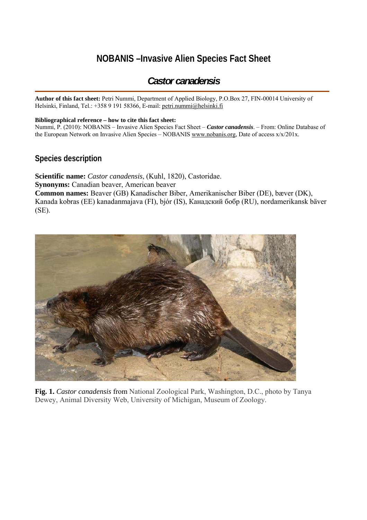# **NOBANIS –Invasive Alien Species Fact Sheet**

# *Castor canadensis*

**Author of this fact sheet:** Petri Nummi, Department of Applied Biology, P.O.Box 27, FIN-00014 University of Helsinki, Finland, Tel.: +358 9 191 58366, E-mail: petri.nummi@helsinki.fi

#### **Bibliographical reference – how to cite this fact sheet:**

Nummi, P. (2010): NOBANIS – Invasive Alien Species Fact Sheet – *Castor canadensis*. – From: Online Database of the European Network on Invasive Alien Species – NOBANIS [www.nobanis.org,](http://www.nobanis.org/) Date of access x/x/201x.

### **Species description**

**Scientific name:** *Castor canadensis*, (Kuhl, 1820), Castoridae. **Synonyms:** Canadian beaver, American beaver **Common names:** Beaver (GB) Kanadischer Biber, Amerikanischer Biber (DE), bæver (DK), Kanada kobras (EE) kanadanmajava (FI), bjór (IS), Канадский бобр (RU), nordamerikansk bäver (SE).



**Fig. 1.** *Castor canadensis* from National Zoological Park, Washington, D.C., photo by Tanya Dewey, Animal Diversity Web, University of Michigan, Museum of Zoology.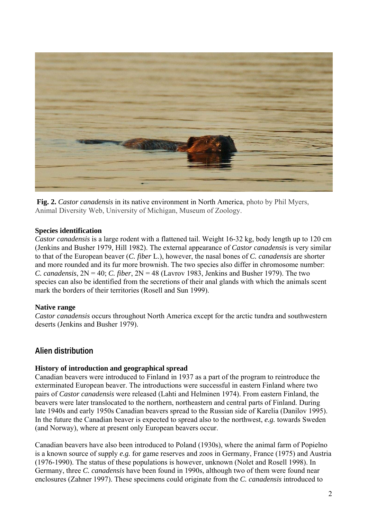

**Fig. 2.** *Castor canadensis* in its native environment in North America, photo by Phil Myers, Animal Diversity Web, University of Michigan, Museum of Zoology.

### **Species identification**

*Castor canadensis* is a large rodent with a flattened tail. Weight 16-32 kg, body length up to 120 cm (Jenkins and Busher 1979, Hill 1982). The external appearance of *Castor canadensis* is very similar to that of the European beaver (*C. fiber* L.), however, the nasal bones of *C. canadensis* are shorter and more rounded and its fur more brownish. The two species also differ in chromosome number: *C. canadensis*, 2N = 40; *C. fiber*, 2N = 48 (Lavrov 1983, Jenkins and Busher 1979). The two species can also be identified from the secretions of their anal glands with which the animals scent mark the borders of their territories (Rosell and Sun 1999).

### **Native range**

*Castor canadensis* occurs throughout North America except for the arctic tundra and southwestern deserts (Jenkins and Busher 1979).

# **Alien distribution**

### **History of introduction and geographical spread**

Canadian beavers were introduced to Finland in 1937 as a part of the program to reintroduce the exterminated European beaver. The introductions were successful in eastern Finland where two pairs of *Castor canadensis* were released (Lahti and Helminen 1974). From eastern Finland, the beavers were later translocated to the northern, northeastern and central parts of Finland. During late 1940s and early 1950s Canadian beavers spread to the Russian side of Karelia (Danilov 1995). In the future the Canadian beaver is expected to spread also to the northwest, *e.g.* towards Sweden (and Norway), where at present only European beavers occur.

Canadian beavers have also been introduced to Poland (1930s), where the animal farm of Popielno is a known source of supply *e.g.* for game reserves and zoos in Germany, France (1975) and Austria (1976-1990). The status of these populations is however, unknown (Nolet and Rosell 1998). In Germany, three *C. canadensis* have been found in 1990s, although two of them were found near enclosures (Zahner 1997). These specimens could originate from the *C. canadensis* introduced to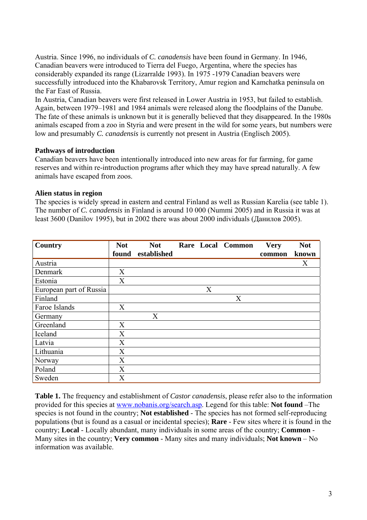Austria. Since 1996, no individuals of *C. canadensis* have been found in Germany. In 1946, Canadian beavers were introduced to Tierra del Fuego, Argentina, where the species has considerably expanded its range (Lizarralde 1993). In 1975 -1979 Canadian beavers were successfully introduced into the Khabarovsk Territory, Amur region and Kamchatka peninsula on the Far East of Russia.

In Austria, Canadian beavers were first released in Lower Austria in 1953, but failed to establish. Again, between 1979–1981 and 1984 animals were released along the floodplains of the Danube. The fate of these animals is unknown but it is generally believed that they disappeared. In the 1980s animals escaped from a zoo in Styria and were present in the wild for some years, but numbers were low and presumably *C. canadensis* is currently not present in Austria (Englisch 2005).

### **Pathways of introduction**

Canadian beavers have been intentionally introduced into new areas for fur farming, for game reserves and within re-introduction programs after which they may have spread naturally. A few animals have escaped from zoos.

### **Alien status in region**

The species is widely spread in eastern and central Finland as well as Russian Karelia (see table 1). The number of *C. canadensis* in Finland is around 10 000 (Nummi 2005) and in Russia it was at least 3600 (Danilov 1995), but in 2002 there was about 2000 individuals (Данилов 2005).

| Country                 | <b>Not</b> | <b>Not</b>  |   | Rare Local Common | <b>Very</b> | <b>Not</b> |
|-------------------------|------------|-------------|---|-------------------|-------------|------------|
|                         | found      | established |   |                   | common      | known      |
| Austria                 |            |             |   |                   |             | X          |
| Denmark                 | X          |             |   |                   |             |            |
| Estonia                 | X          |             |   |                   |             |            |
| European part of Russia |            |             | X |                   |             |            |
| Finland                 |            |             |   | X                 |             |            |
| Faroe Islands           | X          |             |   |                   |             |            |
| Germany                 |            | X           |   |                   |             |            |
| Greenland               | X          |             |   |                   |             |            |
| Iceland                 | X          |             |   |                   |             |            |
| Latvia                  | X          |             |   |                   |             |            |
| Lithuania               | X          |             |   |                   |             |            |
| Norway                  | X          |             |   |                   |             |            |
| Poland                  | X          |             |   |                   |             |            |
| Sweden                  | X          |             |   |                   |             |            |

**Table 1.** The frequency and establishment of *Castor canadensis*, please refer also to the information provided for this species at [www.nobanis.org/search.asp](http://www.nobanis.org/Search.asp). Legend for this table: **Not found** –The species is not found in the country; **Not established** - The species has not formed self-reproducing populations (but is found as a casual or incidental species); **Rare** - Few sites where it is found in the country; **Local** - Locally abundant, many individuals in some areas of the country; **Common** - Many sites in the country; **Very common** - Many sites and many individuals; **Not known** – No information was available.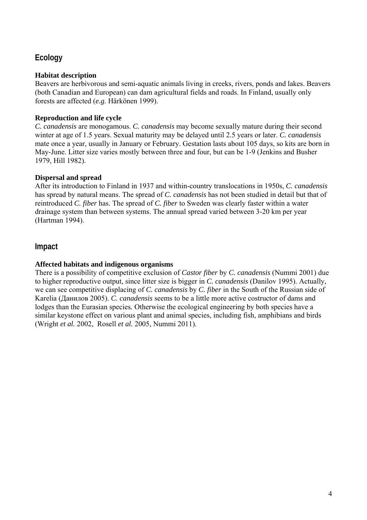# **Ecology**

### **Habitat description**

Beavers are herbivorous and semi-aquatic animals living in creeks, rivers, ponds and lakes. Beavers (both Canadian and European) can dam agricultural fields and roads. In Finland, usually only forests are affected (*e.g.* Härkönen 1999).

### **Reproduction and life cycle**

*C. canadensis* are monogamous. *C. canadensis* may become sexually mature during their second winter at age of 1.5 years. Sexual maturity may be delayed until 2.5 years or later. *C. canadensis* mate once a year, usually in January or February. Gestation lasts about 105 days, so kits are born in May-June. Litter size varies mostly between three and four, but can be 1-9 (Jenkins and Busher 1979, Hill 1982).

### **Dispersal and spread**

After its introduction to Finland in 1937 and within-country translocations in 1950s, *C. canadensis*  has spread by natural means. The spread of *C. canadensis* has not been studied in detail but that of reintroduced *C. fiber* has. The spread of *C. fiber* to Sweden was clearly faster within a water drainage system than between systems. The annual spread varied between 3-20 km per year (Hartman 1994).

# **Impact**

## **Affected habitats and indigenous organisms**

There is a possibility of competitive exclusion of *Castor fiber* by *C. canadensis* (Nummi 2001) due to higher reproductive output, since litter size is bigger in *C. canadensis* (Danilov 1995). Actually, we can see competitive displacing of *C. canadensis* by *C. fiber* in the South of the Russian side of Karelia (Данилов 2005). *C. canadensis* seems to be a little more active costructor of dams and lodges than the Eurasian species*.* Otherwise the ecological engineering by both species have a similar keystone effect on various plant and animal species, including fish, amphibians and birds (Wright *et al.* 2002, Rosell *et al.* 2005, Nummi 2011).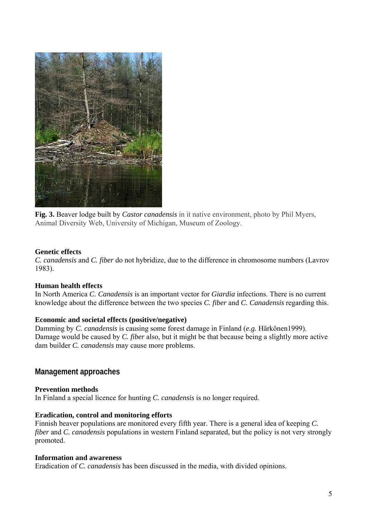

**Fig. 3.** Beaver lodge built by *Castor canadensis* in it native environment, photo by Phil Myers, Animal Diversity Web, University of Michigan, Museum of Zoology.

### **Genetic effects**

*C. canadensis* and *C. fiber* do not hybridize, due to the difference in chromosome numbers (Lavrov 1983).

### **Human health effects**

In North America *C. Canadensis* is an important vector for *Giardia* infections. There is no current knowledge about the difference between the two species *C. fiber* and *C. Canadensis* regarding this.

### **Economic and societal effects (positive/negative)**

Damming by *C. canadensis* is causing some forest damage in Finland (*e.g.* Härkönen1999). Damage would be caused by *C. fiber* also, but it might be that because being a slightly more active dam builder *C. canadensis* may cause more problems.

# **Management approaches**

### **Prevention methods**

In Finland a special licence for hunting *C. canadensis* is no longer required.

### **Eradication, control and monitoring efforts**

Finnish beaver populations are monitored every fifth year. There is a general idea of keeping *C. fiber* and *C. canadensis* populations in western Finland separated, but the policy is not very strongly promoted.

### **Information and awareness**

Eradication of *C. canadensis* has been discussed in the media, with divided opinions.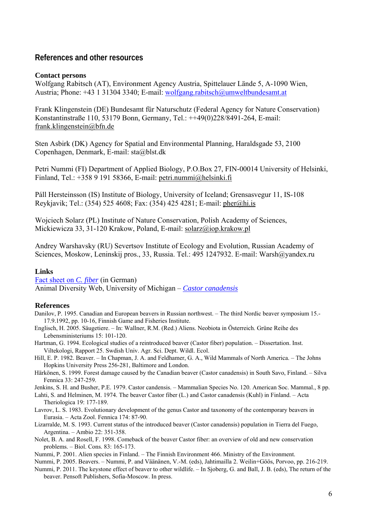### **References and other resources**

#### **Contact persons**

Wolfgang Rabitsch (AT), Environment Agency Austria, Spittelauer Lände 5, A-1090 Wien, Austria; Phone: +43 1 31304 3340; E-mail: [wolfgang.rabitsch@umweltbundesamt.at](mailto:wolfgang.rabitsch@umweltbundesamt.at) 

Frank Klingenstein (DE) Bundesamt für Naturschutz (Federal Agency for Nature Conservation) Konstantinstraße 110, 53179 Bonn, Germany, Tel.: ++49(0)228/8491-264, E-mail: [frank.klingenstein@bfn.de](mailto:frank.klingenstein@bfn.de)

Sten Asbirk (DK) Agency for Spatial and Environmental Planning, Haraldsgade 53, 2100 Copenhagen, Denmark, E-mail: [sta@blst.dk](mailto:sta@blst.dk)

Petri Nummi (FI) Department of Applied Biology, P.O.Box 27, FIN-00014 University of Helsinki, Finland, Tel.: +358 9 191 58366, E-mail: [petri.nummi@helsinki.fi](mailto:petri.nummi@helsinki.fi) 

Páll Hersteinsson (IS) Institute of Biology, University of Iceland; Grensasvegur 11, IS-108 Reykjavik; Tel.: (354) 525 4608; Fax: (354) 425 4281; E-mail: [pher@hi.is](mailto:pher@hi.is)

Wojciech Solarz (PL) Institute of Nature Conservation, Polish Academy of Sciences, Mickiewicza 33, 31-120 Krakow, Poland, E-mail: [solarz@iop.krakow.pl](mailto:solarz@iop.krakow.pl) 

Andrey Warshavsky (RU) Severtsov Institute of Ecology and Evolution, Russian Academy of Sciences, Moskow, Leninskij pros., 33, Russia. Tel.: 495 1247932. E-mail: Wars[h@yandex.ru](mailto:Maslyakoff@mail.ru) 

#### **Links**

[Fact sheet on](http://www.biologie.uni-rostock.de/zoologie/files/Castor%20fiber.pdf) *C. fiber* (in German) Animal Diversity Web, University of Michigan – *[Castor canadensis](http://animaldiversity.ummz.umich.edu/site/accounts/information/Castor_canadensis.html)*

#### **References**

- Danilov, P. 1995. Canadian and European beavers in Russian northwest. The third Nordic beaver symposium 15.- 17.9.1992, pp. 10-16, Finnish Game and Fisheries Institute.
- Englisch, H. 2005. Säugetiere. In: Wallner, R.M. (Red.) Aliens. Neobiota in Österreich. Grüne Reihe des Lebensministeriums 15: 101-120.
- Hartman, G. 1994. Ecological studies of a reintroduced beaver (Castor fiber) population. Dissertation. Inst. Viltekologi, Rapport 25. Swdish Univ. Agr. Sci. Dept. Wildl. Ecol.
- Hill, E. P. 1982. Beaver. In Chapman, J. A. and Feldhamer, G. A., Wild Mammals of North America. The Johns Hopkins University Press 256-281, Baltimore and London.
- Härkönen, S. 1999. Forest damage caused by the Canadian beaver (Castor canadensis) in South Savo, Finland. Silva Fennica 33: 247-259.

Jenkins, S. H. and Busher, P.E. 1979. Castor candensis. – Mammalian Species No. 120. American Soc. Mammal., 8 pp.

Lahti, S. and Helminen, M. 1974. The beaver Castor fiber (L.) and Castor canadensis (Kuhl) in Finland. – Acta Theriologica 19: 177-189.

- Lavrov, L. S. 1983. Evolutionary development of the genus Castor and taxonomy of the contemporary beavers in Eurasia. – Acta Zool. Fennica 174: 87-90.
- Lizarralde, M. S. 1993. Current status of the introduced beaver (Castor canadensis) population in Tierra del Fuego, Argentina. – Ambio 22: 351-358.
- Nolet, B. A. and Rosell, F. 1998. Comeback of the beaver Castor fiber: an overview of old and new conservation problems. – Biol. Cons. 83: 165-173.
- Nummi, P. 2001. Alien species in Finland. The Finnish Environment 466. Ministry of the Environment.
- Nummi, P. 2005. Beavers. Nummi, P. and Väänänen, V.-M. (eds), Jahtimailla 2. Weilin+Göös, Porvoo, pp. 216-219.
- Nummi, P. 2011. The keystone effect of beaver to other wildlife. In Sjoberg, G. and Ball, J. B. (eds), The return of the beaver. Pensoft Publishers, Sofia-Moscow. In press.